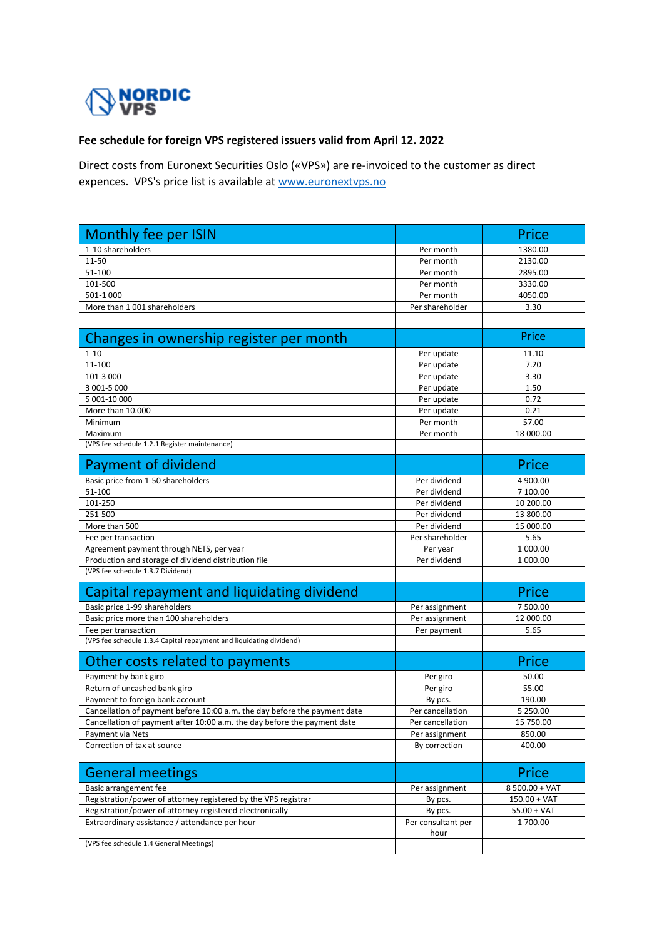

## **Fee schedule for foreign VPS registered issuers valid from April 12. 2022**

Direct costs from Euronext Securities Oslo («VPS») are re-invoiced to the customer as direct expences. VPS's price list is available at www.euronextvps.no

| Monthly fee per ISIN                                                      |                    | Price          |
|---------------------------------------------------------------------------|--------------------|----------------|
| 1-10 shareholders                                                         | Per month          | 1380.00        |
| 11-50                                                                     | Per month          | 2130.00        |
| 51-100                                                                    | Per month          | 2895.00        |
| 101-500                                                                   | Per month          | 3330.00        |
| 501-1 000                                                                 | Per month          | 4050.00        |
| More than 1 001 shareholders                                              | Per shareholder    | 3.30           |
|                                                                           |                    |                |
| Changes in ownership register per month                                   |                    | Price          |
| $1 - 10$                                                                  | Per update         | 11.10          |
| 11-100                                                                    | Per update         | 7.20           |
| 101-3 000                                                                 | Per update         | 3.30           |
| 3 001-5 000                                                               | Per update         | 1.50           |
| 5 001-10 000                                                              | Per update         | 0.72           |
| More than 10.000                                                          | Per update         | 0.21           |
| Minimum                                                                   | Per month          | 57.00          |
| Maximum                                                                   | Per month          | 18 000.00      |
| (VPS fee schedule 1.2.1 Register maintenance)                             |                    |                |
| Payment of dividend                                                       |                    | Price          |
| Basic price from 1-50 shareholders                                        | Per dividend       | 4 900.00       |
| 51-100                                                                    | Per dividend       | 7 100.00       |
| 101-250                                                                   | Per dividend       | 10 200.00      |
| 251-500                                                                   | Per dividend       | 13 800.00      |
| More than 500                                                             | Per dividend       | 15 000.00      |
| Fee per transaction                                                       | Per shareholder    | 5.65           |
| Agreement payment through NETS, per year                                  | Per year           | 1 000.00       |
| Production and storage of dividend distribution file                      | Per dividend       | 1 000.00       |
| (VPS fee schedule 1.3.7 Dividend)                                         |                    |                |
| Capital repayment and liquidating dividend                                |                    | Price          |
| Basic price 1-99 shareholders                                             | Per assignment     | 7 500.00       |
| Basic price more than 100 shareholders                                    | Per assignment     | 12 000.00      |
| Fee per transaction                                                       | Per payment        | 5.65           |
| (VPS fee schedule 1.3.4 Capital repayment and liquidating dividend)       |                    |                |
| Other costs related to payments                                           |                    | Price          |
| Payment by bank giro                                                      | Per giro           | 50.00          |
| Return of uncashed bank giro                                              | Per giro           | 55.00          |
| Payment to foreign bank account                                           | By pcs.            | 190.00         |
| Cancellation of payment before 10:00 a.m. the day before the payment date | Per cancellation   | 5 250.00       |
| Cancellation of payment after 10:00 a.m. the day before the payment date  | Per cancellation   | 15 750.00      |
| Payment via Nets                                                          | Per assignment     | 850.00         |
| Correction of tax at source                                               | By correction      | 400.00         |
| <b>General meetings</b>                                                   |                    | Price          |
| Basic arrangement fee                                                     | Per assignment     | 8 500.00 + VAT |
| Registration/power of attorney registered by the VPS registrar            | By pcs.            | $150.00 + VAT$ |
| Registration/power of attorney registered electronically                  | By pcs.            | $55.00 + VAT$  |
| Extraordinary assistance / attendance per hour                            | Per consultant per | 1700.00        |
| (VPS fee schedule 1.4 General Meetings)                                   | hour               |                |
|                                                                           |                    |                |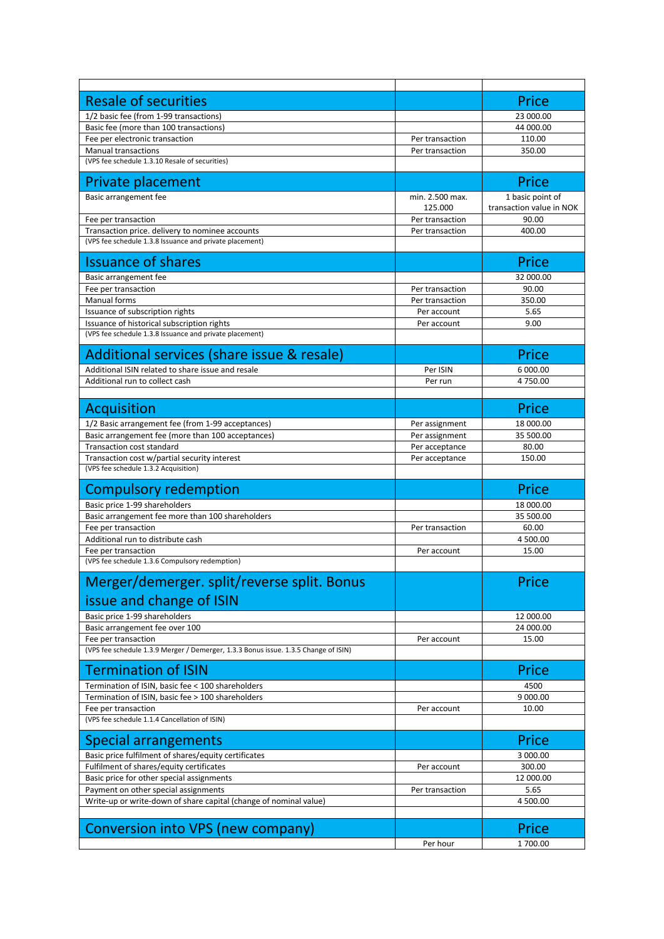| <b>Resale of securities</b>                                                                               |                 | Price                    |
|-----------------------------------------------------------------------------------------------------------|-----------------|--------------------------|
| 1/2 basic fee (from 1-99 transactions)                                                                    |                 | 23 000.00                |
| Basic fee (more than 100 transactions)                                                                    |                 | 44 000.00                |
| Fee per electronic transaction                                                                            | Per transaction | 110.00                   |
| <b>Manual transactions</b>                                                                                | Per transaction | 350.00                   |
| (VPS fee schedule 1.3.10 Resale of securities)                                                            |                 |                          |
| Private placement                                                                                         |                 | Price                    |
| Basic arrangement fee                                                                                     | min. 2.500 max. | 1 basic point of         |
|                                                                                                           | 125.000         | transaction value in NOK |
| Fee per transaction                                                                                       | Per transaction | 90.00                    |
| Transaction price. delivery to nominee accounts                                                           | Per transaction | 400.00                   |
| (VPS fee schedule 1.3.8 Issuance and private placement)                                                   |                 |                          |
| <b>Issuance of shares</b>                                                                                 |                 | Price                    |
| Basic arrangement fee                                                                                     |                 | 32 000.00                |
| Fee per transaction                                                                                       | Per transaction | 90.00                    |
| Manual forms                                                                                              | Per transaction | 350.00                   |
| Issuance of subscription rights<br>Issuance of historical subscription rights                             | Per account     | 5.65                     |
| (VPS fee schedule 1.3.8 Issuance and private placement)                                                   | Per account     | 9.00                     |
|                                                                                                           |                 |                          |
| Additional services (share issue & resale)                                                                |                 | Price                    |
| Additional ISIN related to share issue and resale                                                         | Per ISIN        | 6 000.00                 |
| Additional run to collect cash                                                                            | Per run         | 4750.00                  |
|                                                                                                           |                 |                          |
| Acquisition                                                                                               |                 | Price                    |
| 1/2 Basic arrangement fee (from 1-99 acceptances)                                                         | Per assignment  | 18 000.00                |
| Basic arrangement fee (more than 100 acceptances)                                                         | Per assignment  | 35 500.00                |
| <b>Transaction cost standard</b>                                                                          | Per acceptance  | 80.00                    |
| Transaction cost w/partial security interest                                                              | Per acceptance  | 150.00                   |
| (VPS fee schedule 1.3.2 Acquisition)                                                                      |                 |                          |
| <b>Compulsory redemption</b>                                                                              |                 | Price                    |
| Basic price 1-99 shareholders                                                                             |                 | 18 000.00                |
| Basic arrangement fee more than 100 shareholders                                                          |                 | 35 500.00                |
| Fee per transaction                                                                                       | Per transaction | 60.00                    |
| Additional run to distribute cash                                                                         |                 | 4 500.00                 |
| Fee per transaction                                                                                       | Per account     | 15.00                    |
| (VPS fee schedule 1.3.6 Compulsory redemption)                                                            |                 |                          |
| Merger/demerger. split/reverse split. Bonus                                                               |                 | Price                    |
| issue and change of ISIN                                                                                  |                 |                          |
|                                                                                                           |                 |                          |
| Basic price 1-99 shareholders<br>Basic arrangement fee over 100                                           |                 | 12 000.00<br>24 000.00   |
| Fee per transaction                                                                                       | Per account     | 15.00                    |
| (VPS fee schedule 1.3.9 Merger / Demerger, 1.3.3 Bonus issue. 1.3.5 Change of ISIN)                       |                 |                          |
|                                                                                                           |                 |                          |
| <b>Termination of ISIN</b>                                                                                |                 | Price                    |
| Termination of ISIN, basic fee < 100 shareholders                                                         |                 | 4500                     |
| Termination of ISIN, basic fee > 100 shareholders                                                         |                 | 9 000.00                 |
| Fee per transaction<br>(VPS fee schedule 1.1.4 Cancellation of ISIN)                                      | Per account     | 10.00                    |
|                                                                                                           |                 |                          |
| <b>Special arrangements</b>                                                                               |                 | Price                    |
| Basic price fulfilment of shares/equity certificates                                                      |                 | 3 000.00                 |
| Fulfilment of shares/equity certificates                                                                  | Per account     | 300.00                   |
| Basic price for other special assignments                                                                 |                 | 12 000.00                |
| Payment on other special assignments<br>Write-up or write-down of share capital (change of nominal value) | Per transaction | 5.65<br>4 500.00         |
|                                                                                                           |                 |                          |
| Conversion into VPS (new company)                                                                         |                 | Price                    |
|                                                                                                           | Per hour        | 1700.00                  |
|                                                                                                           |                 |                          |